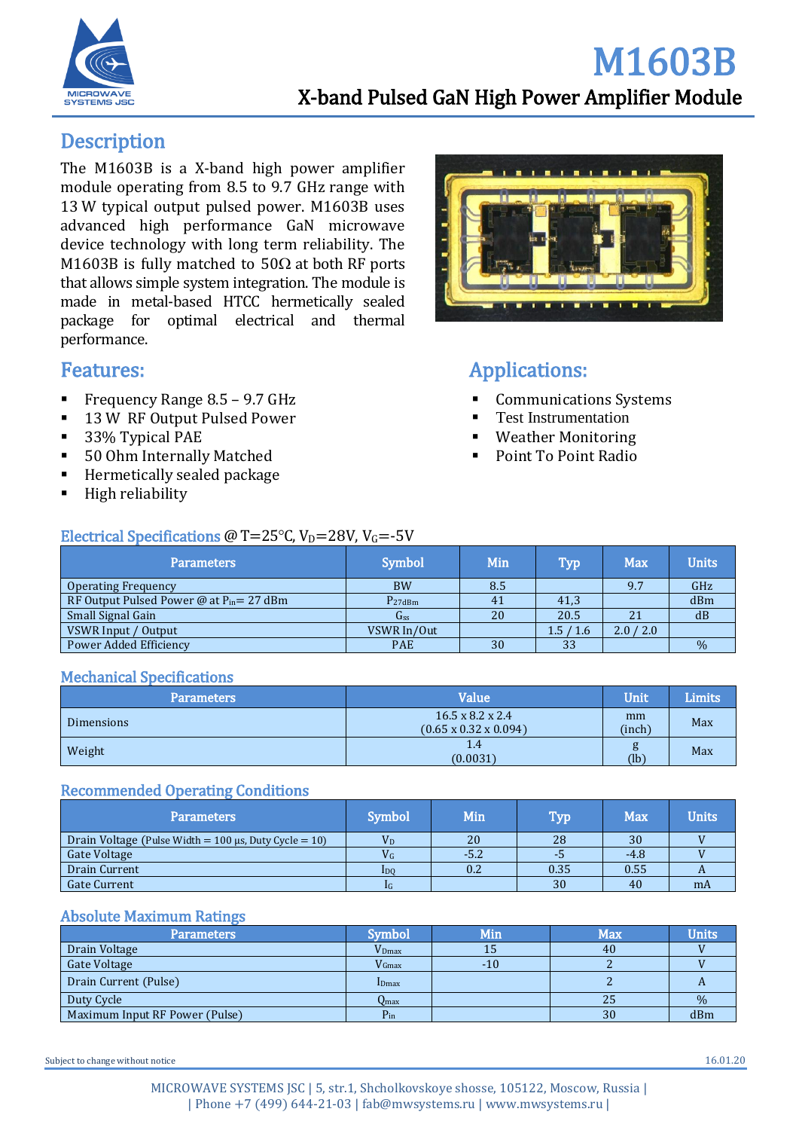

## **Description**

The M1603B is a X-band high power amplifier module operating from 8.5 to 9.7 GHz range with 13 W typical output pulsed power. M1603B uses advanced high performance GaN microwave device technology with long term reliability. The M1603B is fully matched to 50 $\Omega$  at both RF ports that allows simple system integration. The module is made in metal-based HTCC hermetically sealed package for optimal electrical and thermal performance.

## Features:

- Frequency Range  $8.5 9.7$  GHz
- 13 W RF Output Pulsed Power
- 33% Typical PAE
- 50 Ohm Internally Matched
- Hermetically sealed package
- High reliability



# Applications:

- **Communications Systems**
- **Test Instrumentation**
- Weather Monitoring
- Point To Point Radio

| Electrical Specifications @ T=25 $\degree$ C, V <sub>D</sub> =28V, V <sub>G</sub> =-5V |
|----------------------------------------------------------------------------------------|
|----------------------------------------------------------------------------------------|

| <b>Parameters</b>                             | <b>Symbol</b>   | Min | <b>Typ</b> | <b>Max</b> | <b>Units</b> |
|-----------------------------------------------|-----------------|-----|------------|------------|--------------|
| <b>Operating Frequency</b>                    | <b>BW</b>       | 8.5 |            | 9.7        | GHz          |
| RF Output Pulsed Power @ at $P_{in} = 27$ dBm | $P_{27dBm}$     | 41  | 41,3       |            | dBm          |
| Small Signal Gain                             | G <sub>ss</sub> | 20  | 20.5       | 21         | dB           |
| VSWR Input / Output                           | VSWR In/Out     |     | 1.5/1.6    | 2.0 / 2.0  |              |
| Power Added Efficiency                        | <b>PAE</b>      | 30  | 33         |            | $\%$         |
|                                               |                 |     |            |            |              |

#### Mechanical Specifications

| Parameters        |  | Value                                                             | Unit         | <b>Limits</b> |
|-------------------|--|-------------------------------------------------------------------|--------------|---------------|
| <b>Dimensions</b> |  | $16.5 \times 8.2 \times 2.4$<br>$(0.65 \times 0.32 \times 0.094)$ | mm<br>(inch) | Max           |
| Weight            |  | 1.4<br>(0.0031)                                                   | g<br>(lb)    | Max           |
|                   |  |                                                                   |              |               |

#### Recommended Operating Conditions

| Parameters                                                     | <b>Symbol</b>   | Min  | Typ  | Max    | $\mathbf{Units}^{\dagger}$ |
|----------------------------------------------------------------|-----------------|------|------|--------|----------------------------|
| Drain Voltage (Pulse Width = $100 \mu s$ , Duty Cycle = $10$ ) | $\rm V_{D}$     | 20   | 28   | 30     |                            |
| Gate Voltage                                                   | $V_G$           | -5.2 |      | $-4.8$ |                            |
| Drain Current                                                  | 1 <sub>DO</sub> | 0.2  | 0.35 | 0.55   |                            |
| Gate Current                                                   | 1G              |      | 30   | 40     | mA                         |
|                                                                |                 |      |      |        |                            |

#### Absolute Maximum Ratings

| <b>Parameters</b>              | Symbol            | Min   | <b>Max</b> | <b>Units</b> |
|--------------------------------|-------------------|-------|------------|--------------|
| Drain Voltage                  | V <sub>Dmax</sub> | 15    | 40         |              |
| Gate Voltage                   | $V_{\rm Gmax}$    | $-10$ |            |              |
| Drain Current (Pulse)          | <b>I</b> Dmax     |       |            |              |
| Duty Cycle                     | $O_{\rm max}$     |       | 25         | $\%$         |
| Maximum Input RF Power (Pulse) | $P_{in}$          |       | 30         | dBm          |

Subject to change without notice  $16.01.20$